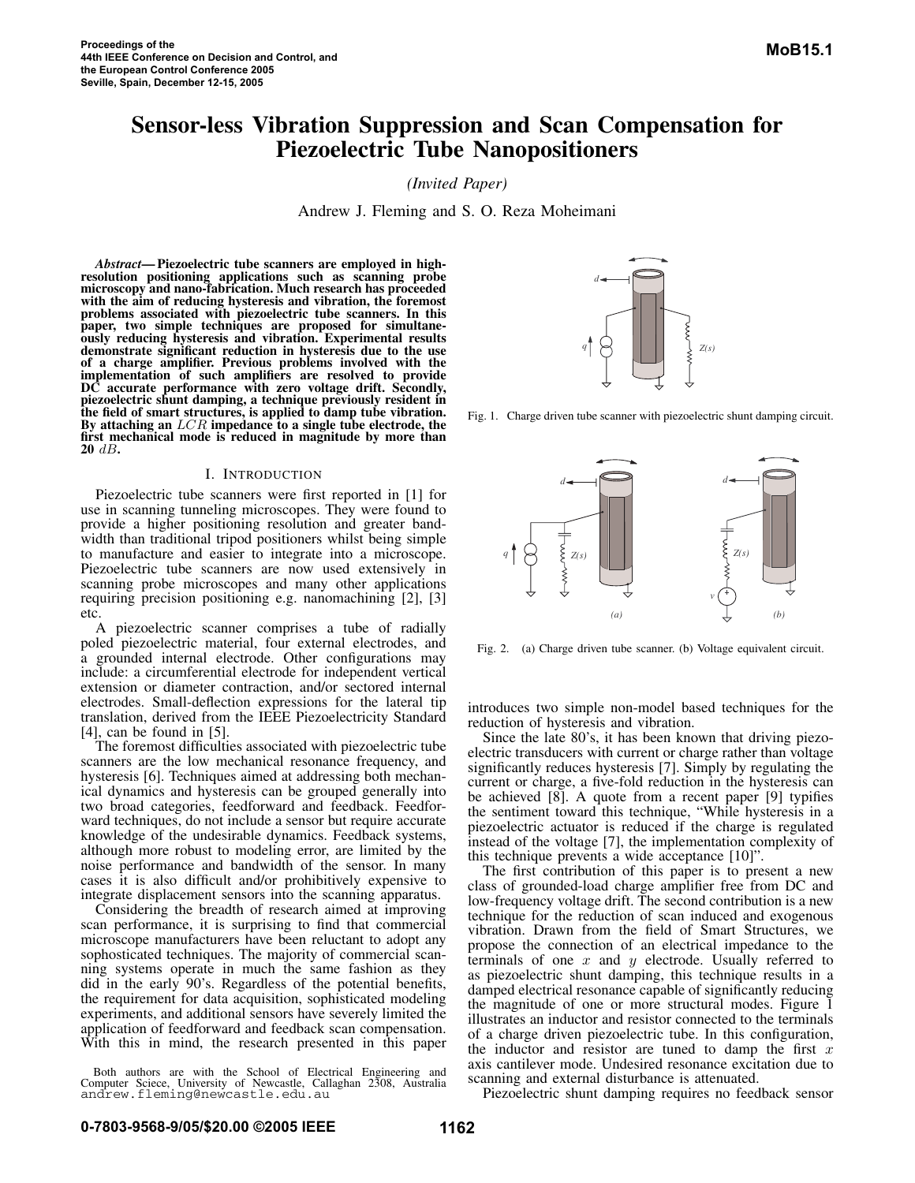# **Sensor-less Vibration Suppression and Scan Compensation for Piezoelectric Tube Nanopositioners**

*(Invited Paper)*

Andrew J. Fleming and S. O. Reza Moheimani

*Abstract***— Piezoelectric tube scanners are employed in highresolution positioning applications such as scanning probe microscopy and nano-fabrication. Much research has proceeded with the aim of reducing hysteresis and vibration, the foremost problems associated with piezoelectric tube scanners. In this paper, two simple techniques are proposed for simultaneously reducing hysteresis and vibration. Experimental results demonstrate significant reduction in hysteresis due to the use of a charge amplifier. Previous problems involved with the implementation of such amplifiers are resolved to provide DC accurate performance with zero voltage drift. Secondly, piezoelectric shunt damping, a technique previously resident in the field of smart structures, is applied to damp tube vibration. By attaching an** LCR **impedance to a single tube electrode, the first mechanical mode is reduced in magnitude by more than 20** dB**.**

### I. INTRODUCTION

Piezoelectric tube scanners were first reported in [1] for use in scanning tunneling microscopes. They were found to provide a higher positioning resolution and greater bandwidth than traditional tripod positioners whilst being simple to manufacture and easier to integrate into a microscope. Piezoelectric tube scanners are now used extensively in scanning probe microscopes and many other applications requiring precision positioning e.g. nanomachining [2], [3] etc.

A piezoelectric scanner comprises a tube of radially poled piezoelectric material, four external electrodes, and a grounded internal electrode. Other configurations may include: a circumferential electrode for independent vertical extension or diameter contraction, and/or sectored internal electrodes. Small-deflection expressions for the lateral tip translation, derived from the IEEE Piezoelectricity Standard  $[4]$ , can be found in  $[5]$ .

The foremost difficulties associated with piezoelectric tube scanners are the low mechanical resonance frequency, and hysteresis [6]. Techniques aimed at addressing both mechanical dynamics and hysteresis can be grouped generally into two broad categories, feedforward and feedback. Feedforward techniques, do not include a sensor but require accurate knowledge of the undesirable dynamics. Feedback systems, although more robust to modeling error, are limited by the noise performance and bandwidth of the sensor. In many cases it is also difficult and/or prohibitively expensive to integrate displacement sensors into the scanning apparatus.

Considering the breadth of research aimed at improving scan performance, it is surprising to find that commercial microscope manufacturers have been reluctant to adopt any sophosticated techniques. The majority of commercial scanning systems operate in much the same fashion as they did in the early 90's. Regardless of the potential benefits, the requirement for data acquisition, sophisticated modeling experiments, and additional sensors have severely limited the application of feedforward and feedback scan compensation. With this in mind, the research presented in this paper

Both authors are with the School of Electrical Engineering and Computer Sciece, University of Newcastle, Callaghan 2308, Australia andrew.fleming@newcastle.edu.au



Fig. 1. Charge driven tube scanner with piezoelectric shunt damping circuit.



Fig. 2. (a) Charge driven tube scanner. (b) Voltage equivalent circuit.

introduces two simple non-model based techniques for the reduction of hysteresis and vibration.

Since the late 80's, it has been known that driving piezoelectric transducers with current or charge rather than voltage significantly reduces hysteresis [7]. Simply by regulating the current or charge, a five-fold reduction in the hysteresis can be achieved [8]. A quote from a recent paper [9] typifies the sentiment toward this technique, "While hysteresis in a piezoelectric actuator is reduced if the charge is regulated instead of the voltage [7], the implementation complexity of this technique prevents a wide acceptance [10]".

The first contribution of this paper is to present a new class of grounded-load charge amplifier free from DC and low-frequency voltage drift. The second contribution is a new technique for the reduction of scan induced and exogenous vibration. Drawn from the field of Smart Structures, we propose the connection of an electrical impedance to the terminals of one  $x$  and  $y$  electrode. Usually referred to as piezoelectric shunt damping, this technique results in a damped electrical resonance capable of significantly reducing the magnitude of one or more structural modes. Figure 1 illustrates an inductor and resistor connected to the terminals of a charge driven piezoelectric tube. In this configuration, the inductor and resistor are tuned to damp the first  $x$ axis cantilever mode. Undesired resonance excitation due to scanning and external disturbance is attenuated.

Piezoelectric shunt damping requires no feedback sensor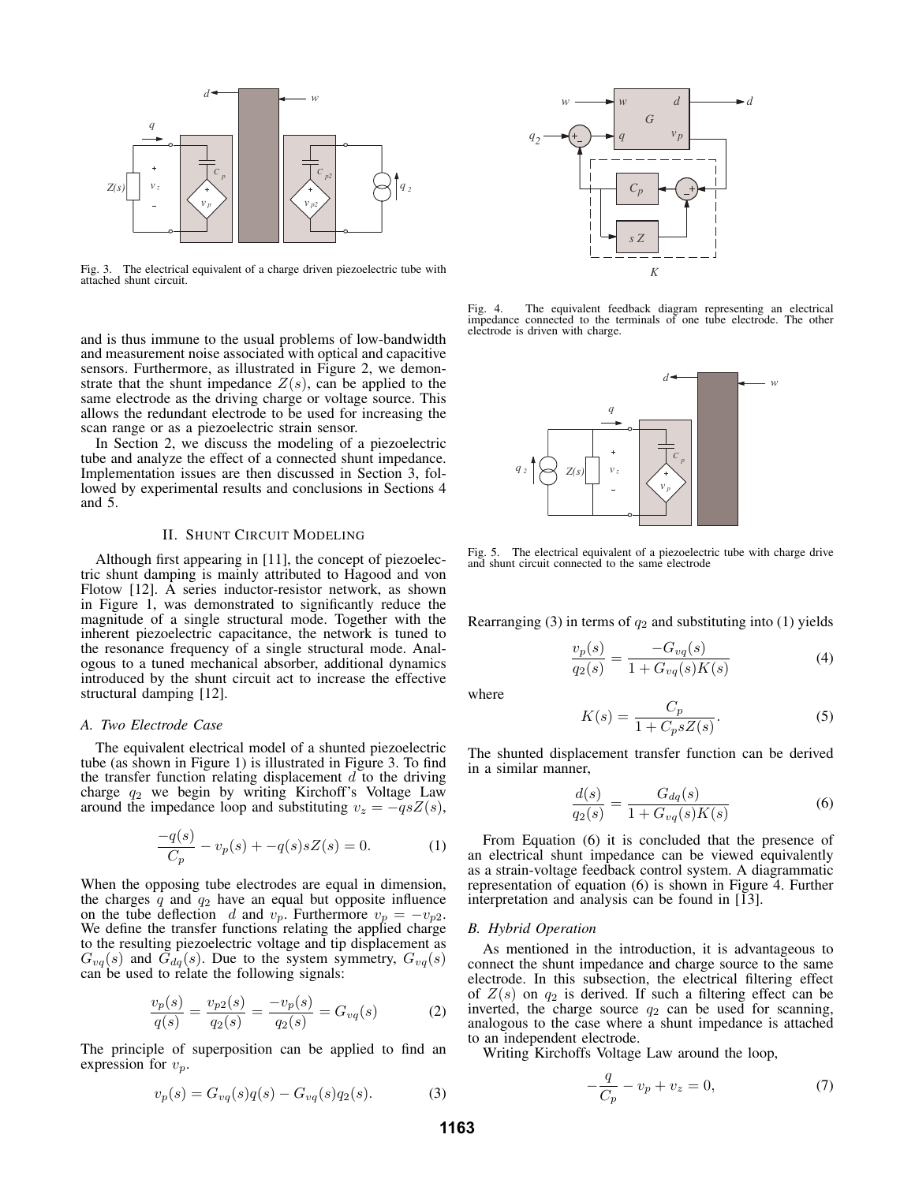

Fig. 3. The electrical equivalent of a charge driven piezoelectric tube with attached shunt circuit.

and is thus immune to the usual problems of low-bandwidth and measurement noise associated with optical and capacitive sensors. Furthermore, as illustrated in Figure 2, we demonstrate that the shunt impedance  $Z(s)$ , can be applied to the same electrode as the driving charge or voltage source. This allows the redundant electrode to be used for increasing the scan range or as a piezoelectric strain sensor.

In Section 2, we discuss the modeling of a piezoelectric tube and analyze the effect of a connected shunt impedance. Implementation issues are then discussed in Section 3, followed by experimental results and conclusions in Sections 4 and 5.

## II. SHUNT CIRCUIT MODELING

Although first appearing in [11], the concept of piezoelectric shunt damping is mainly attributed to Hagood and von Flotow [12]. A series inductor-resistor network, as shown in Figure 1, was demonstrated to significantly reduce the magnitude of a single structural mode. Together with the inherent piezoelectric capacitance, the network is tuned to the resonance frequency of a single structural mode. Analogous to a tuned mechanical absorber, additional dynamics introduced by the shunt circuit act to increase the effective structural damping [12].

## *A. Two Electrode Case*

The equivalent electrical model of a shunted piezoelectric tube (as shown in Figure 1) is illustrated in Figure 3. To find the transfer function relating displacement  $d$  to the driving charge  $q_2$  we begin by writing Kirchoff's Voltage Law around the impedance loop and substituting  $v_z = -qsZ(s)$ ,

$$
\frac{-q(s)}{C_p} - v_p(s) + -q(s)sZ(s) = 0.
$$
 (1)

When the opposing tube electrodes are equal in dimension, the charges  $q$  and  $q_2$  have an equal but opposite influence on the tube deflection d and  $v_p$ . Furthermore  $v_p = -v_{p2}$ .<br>We define the transfer functions relating the applied charge to the resulting piezoelectric voltage and tip displacement as  $G_{vq}(s)$  and  $\tilde{G}_{dq}(s)$ . Due to the system symmetry,  $G_{vq}(s)$ can be used to relate the following signals:

$$
\frac{v_p(s)}{q(s)} = \frac{v_{p2}(s)}{q_2(s)} = \frac{-v_p(s)}{q_2(s)} = G_{vq}(s)
$$
 (2)

The principle of superposition can be applied to find an expression for  $v_p$ .

$$
v_p(s) = G_{vq}(s)q(s) - G_{vq}(s)q_2(s).
$$
 (3)



Fig. 4. The equivalent feedback diagram representing an electrical impedance connected to the terminals of one tube electrode. The other electrode is driven with charge.



Fig. 5. The electrical equivalent of a piezoelectric tube with charge drive and shunt circuit connected to the same electrode

Rearranging (3) in terms of  $q_2$  and substituting into (1) yields

$$
\frac{v_p(s)}{q_2(s)} = \frac{-G_{vq}(s)}{1 + G_{vq}(s)K(s)}\tag{4}
$$

where

$$
K(s) = \frac{C_p}{1 + C_p s Z(s)}.\tag{5}
$$

The shunted displacement transfer function can be derived in a similar manner,

$$
\frac{d(s)}{q_2(s)} = \frac{G_{dq}(s)}{1 + G_{vq}(s)K(s)}\tag{6}
$$

From Equation (6) it is concluded that the presence of an electrical shunt impedance can be viewed equivalently as a strain-voltage feedback control system. A diagrammatic representation of equation (6) is shown in Figure 4. Further interpretation and analysis can be found in [13].

### *B. Hybrid Operation*

As mentioned in the introduction, it is advantageous to connect the shunt impedance and charge source to the same electrode. In this subsection, the electrical filtering effect of  $Z(s)$  on  $q_2$  is derived. If such a filtering effect can be inverted, the charge source  $q_2$  can be used for scanning, analogous to the case where a shunt impedance is attached to an independent electrode.

Writing Kirchoffs Voltage Law around the loop,

$$
-\frac{q}{C_p} - v_p + v_z = 0,\t\t(7)
$$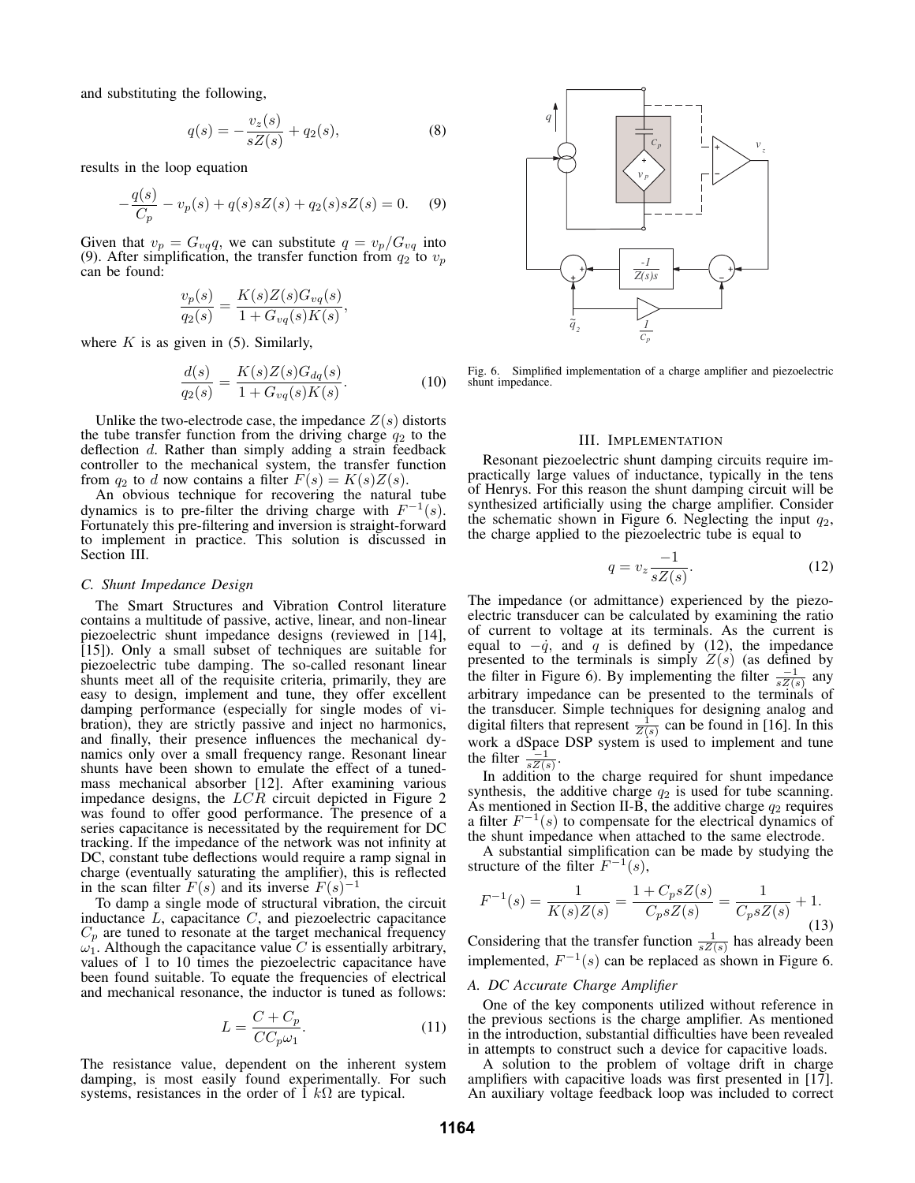and substituting the following,

$$
q(s) = -\frac{v_z(s)}{sZ(s)} + q_2(s),
$$
 (8)

results in the loop equation

$$
-\frac{q(s)}{C_p} - v_p(s) + q(s)sZ(s) + q_2(s)sZ(s) = 0.
$$
 (9)

Given that  $v_p = G_{vq}q$ , we can substitute  $q = v_p/G_{vq}$  into (9). After simplification, the transfer function from  $q_2$  to  $v_p$ can be found:

$$
\frac{v_p(s)}{q_2(s)} = \frac{K(s)Z(s)G_{vq}(s)}{1 + G_{vq}(s)K(s)},
$$

where  $K$  is as given in (5). Similarly,

$$
\frac{d(s)}{q_2(s)} = \frac{K(s)Z(s)G_{dq}(s)}{1 + G_{vq}(s)K(s)}.
$$
\n(10)

Unlike the two-electrode case, the impedance  $Z(s)$  distorts the tube transfer function from the driving charge  $q_2$  to the deflection d. Rather than simply adding a strain feedback controller to the mechanical system, the transfer function from  $q_2$  to d now contains a filter  $F(s) = K(s)Z(s)$ .

An obvious technique for recovering the natural tube dynamics is to pre-filter the driving charge with  $F^{-1}(s)$ .<br>Fortunately this pre-filtering and inversion is straight-forward to implement in practice. This solution is discussed in Section III.

## *C. Shunt Impedance Design*

The Smart Structures and Vibration Control literature contains a multitude of passive, active, linear, and non-linear piezoelectric shunt impedance designs (reviewed in [14], [15]). Only a small subset of techniques are suitable for piezoelectric tube damping. The so-called resonant linear shunts meet all of the requisite criteria, primarily, they are easy to design, implement and tune, they offer excellent damping performance (especially for single modes of vibration), they are strictly passive and inject no harmonics, and finally, their presence influences the mechanical dynamics only over a small frequency range. Resonant linear shunts have been shown to emulate the effect of a tunedmass mechanical absorber [12]. After examining various impedance designs, the LCR circuit depicted in Figure 2 was found to offer good performance. The presence of a series capacitance is necessitated by the requirement for DC tracking. If the impedance of the network was not infinity at DC, constant tube deflections would require a ramp signal in charge (eventually saturating the amplifier), this is reflected in the scan filter  $F(s)$  and its inverse  $F(s)^{-1}$ 

To damp a single mode of structural vibration, the circuit inductance  $L$ , capacitance  $C$ , and piezoelectric capacitance  $C_p$  are tuned to resonate at the target mechanical frequency  $\omega_1$ . Although the capacitance value C is essentially arbitrary, values of  $\overline{1}$  to 10 times the piezoelectric capacitance have been found suitable. To equate the frequencies of electrical and mechanical resonance, the inductor is tuned as follows:

$$
L = \frac{C + C_p}{CC_p \omega_1}.\tag{11}
$$

The resistance value, dependent on the inherent system damping, is most easily found experimentally. For such systems, resistances in the order of 1  $k\Omega$  are typical.



Fig. 6. Simplified implementation of a charge amplifier and piezoelectric shunt impedance.

#### III. IMPLEMENTATION

Resonant piezoelectric shunt damping circuits require impractically large values of inductance, typically in the tens of Henrys. For this reason the shunt damping circuit will be synthesized artificially using the charge amplifier. Consider the schematic shown in Figure 6. Neglecting the input  $q_2$ , the charge applied to the piezoelectric tube is equal to

$$
q = v_z \frac{-1}{sZ(s)}.\tag{12}
$$

The impedance (or admittance) experienced by the piezoelectric transducer can be calculated by examining the ratio of current to voltage at its terminals. As the current is equal to  $-\dot{q}$ , and q is defined by (12), the impedance presented to the terminals is simply  $Z(s)$  (as defined by the filter in Figure 6). By implementing the filter  $\frac{-1}{sZ(s)}$  any arbitrary impedance can be presented to the terminals of the transducer. Simple techniques for designing analog and digital filters that represent  $\frac{1}{Z(s)}$  can be found in [16]. In this work a dSpace DSP system is used to implement and tune the filter  $\frac{-1}{sZ(s)}$ .

In addition to the charge required for shunt impedance synthesis, the additive charge  $q_2$  is used for tube scanning. As mentioned in Section II-B, the additive charge  $q_2$  requires a filter  $F^{-1}(s)$  to compensate for the electrical dynamics of the shunt impedance when attached to the same electrode.

A substantial simplification can be made by studying the structure of the filter  $F^{-1}(s)$ ,

$$
F^{-1}(s) = \frac{1}{K(s)Z(s)} = \frac{1 + C_p s Z(s)}{C_p s Z(s)} = \frac{1}{C_p s Z(s)} + 1.
$$
\n(13)

Considering that the transfer function  $\frac{1}{sZ(s)}$  has already been implemented,  $F^{-1}(s)$  can be replaced as shown in Figure 6.

# *A. DC Accurate Charge Amplifier*

One of the key components utilized without reference in the previous sections is the charge amplifier. As mentioned in the introduction, substantial difficulties have been revealed in attempts to construct such a device for capacitive loads.

A solution to the problem of voltage drift in charge amplifiers with capacitive loads was first presented in [17]. An auxiliary voltage feedback loop was included to correct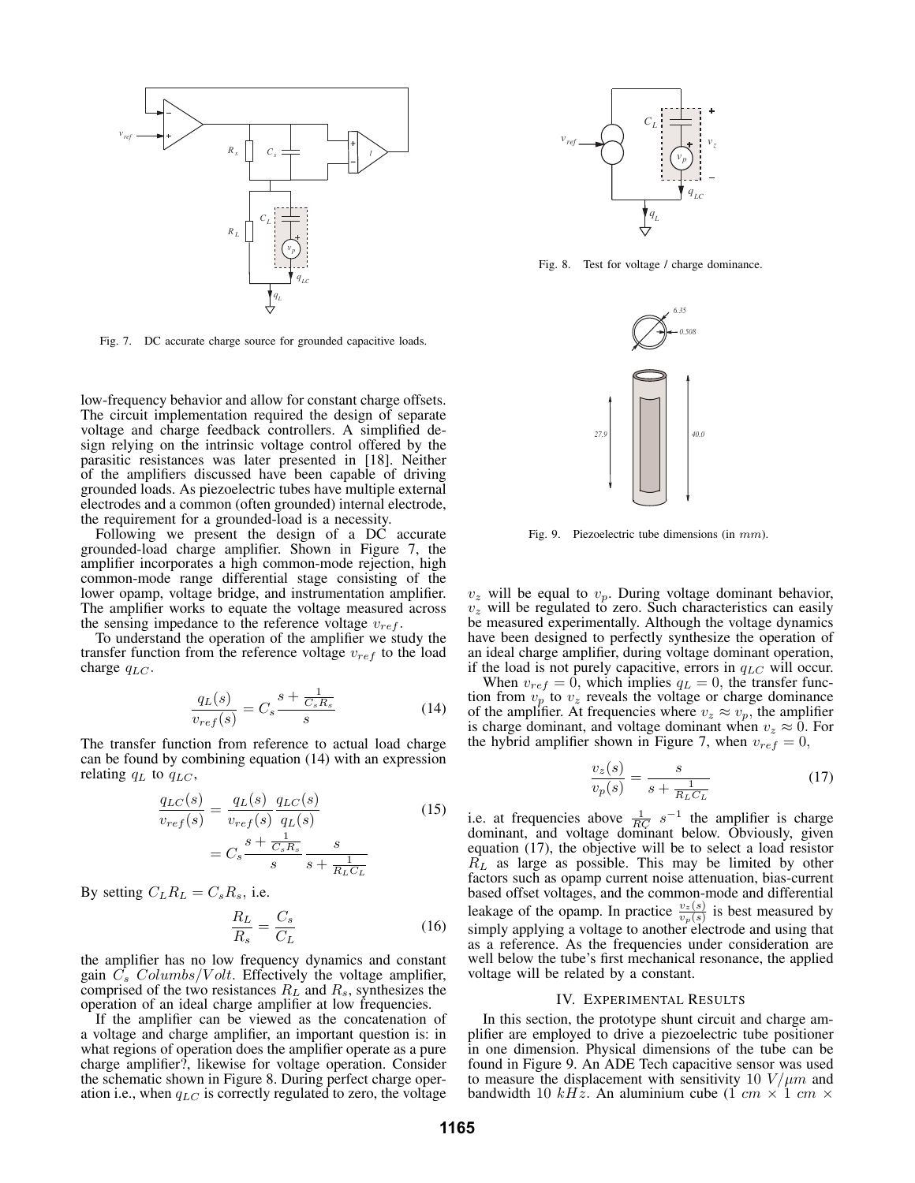

Fig. 7. DC accurate charge source for grounded capacitive loads.

low-frequency behavior and allow for constant charge offsets. The circuit implementation required the design of separate voltage and charge feedback controllers. A simplified design relying on the intrinsic voltage control offered by the parasitic resistances was later presented in [18]. Neither of the amplifiers discussed have been capable of driving grounded loads. As piezoelectric tubes have multiple external electrodes and a common (often grounded) internal electrode, the requirement for a grounded-load is a necessity.

Following we present the design of a DC accurate grounded-load charge amplifier. Shown in Figure 7, the amplifier incorporates a high common-mode rejection, high common-mode range differential stage consisting of the lower opamp, voltage bridge, and instrumentation amplifier. The amplifier works to equate the voltage measured across the sensing impedance to the reference voltage  $v_{ref}$ .

To understand the operation of the amplifier we study the transfer function from the reference voltage  $v_{ref}$  to the load charge  $q_{LC}$ .

$$
\frac{q_L(s)}{v_{ref}(s)} = C_s \frac{s + \frac{1}{C_s R_s}}{s} \tag{14}
$$

The transfer function from reference to actual load charge can be found by combining equation (14) with an expression relating  $q_L$  to  $q_{LC}$ ,

$$
\frac{q_{LC}(s)}{v_{ref}(s)} = \frac{q_L(s)}{v_{ref}(s)} \frac{q_{LC}(s)}{q_L(s)}
$$
\n
$$
= C_s \frac{s + \frac{1}{C_s R_s}}{s} \frac{s}{s + \frac{1}{R_L C_L}}
$$
\n(15)

By setting  $C_L R_L = C_s R_s$ , i.e.

$$
\frac{R_L}{R_s} = \frac{C_s}{C_L} \tag{16}
$$

the amplifier has no low frequency dynamics and constant gain  $C_s$  Columbs/Volt. Effectively the voltage amplifier, comprised of the two resistances  $R_L$  and  $R_s$ , synthesizes the operation of an ideal charge amplifier at low frequencies.

If the amplifier can be viewed as the concatenation of a voltage and charge amplifier, an important question is: in what regions of operation does the amplifier operate as a pure charge amplifier?, likewise for voltage operation. Consider the schematic shown in Figure 8. During perfect charge operation i.e., when  $q_{LC}$  is correctly regulated to zero, the voltage



Fig. 8. Test for voltage / charge dominance.



Fig. 9. Piezoelectric tube dimensions (in mm).

 $v<sub>z</sub>$  will be equal to  $v<sub>p</sub>$ . During voltage dominant behavior,  $v<sub>z</sub>$  will be regulated to zero. Such characteristics can easily be measured experimentally. Although the voltage dynamics have been designed to perfectly synthesize the operation of an ideal charge amplifier, during voltage dominant operation, if the load is not purely capacitive, errors in  $q_{LC}$  will occur.

When  $v_{ref} = 0$ , which implies  $q_L = 0$ , the transfer function from  $v_p$  to  $v_z$  reveals the voltage or charge dominance of the amplifier. At frequencies where  $v_z \approx v_p$ , the amplifier is charge dominant, and voltage dominant when  $v_z \approx 0$ . For the hybrid amplifier shown in Figure 7, when  $v_{ref} = 0$ ,

$$
\frac{v_z(s)}{v_p(s)} = \frac{s}{s + \frac{1}{R_L C_L}}\tag{17}
$$

i.e. at frequencies above  $\frac{1}{RC}$  s<sup>−1</sup> the amplifier is charge dominant, and voltage dominant below. Obviously, given equation (17), the objective will be to select a load resistor  $R_L$  as large as possible. This may be limited by other factors such as opamp current noise attenuation, bias-current based offset voltages, and the common-mode and differential leakage of the opamp. In practice  $\frac{v_z(s)}{v_p(s)}$  is best measured by simply applying a voltage to another electrode and using that as a reference. As the frequencies under consideration are well below the tube's first mechanical resonance, the applied voltage will be related by a constant.

## IV. EXPERIMENTAL RESULTS

In this section, the prototype shunt circuit and charge amplifier are employed to drive a piezoelectric tube positioner in one dimension. Physical dimensions of the tube can be found in Figure 9. An ADE Tech capacitive sensor was used to measure the displacement with sensitivity 10  $V/\mu m$  and bandwidth 10  $kHz$ . An aluminium cube (1 cm  $\times$  1 cm  $\times$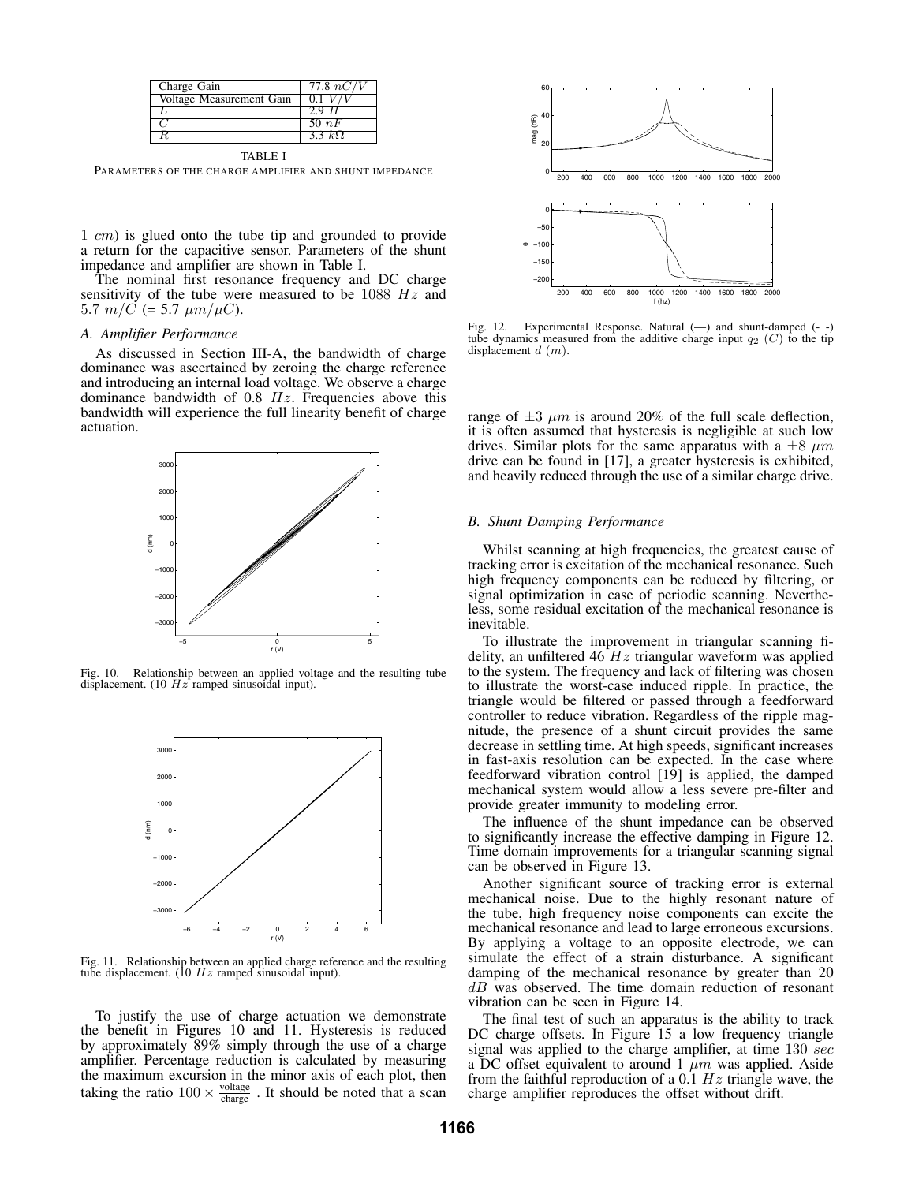| Charge Gain              | 77.8~nC |
|--------------------------|---------|
| Voltage Measurement Gain |         |
|                          |         |
|                          | 50 $nF$ |
|                          |         |

TABLE I PARAMETERS OF THE CHARGE AMPLIFIER AND SHUNT IMPEDANCE

1 cm) is glued onto the tube tip and grounded to provide a return for the capacitive sensor. Parameters of the shunt impedance and amplifier are shown in Table I.

The nominal first resonance frequency and DC charge sensitivity of the tube were measured to be  $1088$  Hz and 5.7  $m/C$  (= 5.7  $\mu m/\mu C$ ).

## *A. Amplifier Performance*

As discussed in Section III-A, the bandwidth of charge dominance was ascertained by zeroing the charge reference and introducing an internal load voltage. We observe a charge dominance bandwidth of 0.8  $Hz$ . Frequencies above this bandwidth will experience the full linearity benefit of charge actuation.



Fig. 10. Relationship between an applied voltage and the resulting tube displacement. (10  $Hz$  ramped sinusoidal input).



Fig. 11. Relationship between an applied charge reference and the resulting tube displacement. (10  $Hz$  ramped sinusoidal input).

To justify the use of charge actuation we demonstrate the benefit in Figures 10 and 11. Hysteresis is reduced by approximately 89% simply through the use of a charge amplifier. Percentage reduction is calculated by measuring the maximum excursion in the minor axis of each plot, then taking the ratio  $100 \times \frac{\text{voltage}}{\text{charge}}$ . It should be noted that a scan



Fig. 12. Experimental Response. Natural (—) and shunt-damped (- -) tube dynamics measured from the additive charge input  $q_2$  (C) to the tip displacement  $d(m)$ .

range of  $\pm 3 \ \mu m$  is around 20% of the full scale deflection, it is often assumed that hysteresis is negligible at such low drives. Similar plots for the same apparatus with a  $\pm 8 \ \mu m$ drive can be found in [17], a greater hysteresis is exhibited, and heavily reduced through the use of a similar charge drive.

## *B. Shunt Damping Performance*

Whilst scanning at high frequencies, the greatest cause of tracking error is excitation of the mechanical resonance. Such high frequency components can be reduced by filtering, or signal optimization in case of periodic scanning. Nevertheless, some residual excitation of the mechanical resonance is inevitable.

To illustrate the improvement in triangular scanning fidelity, an unfiltered 46  $Hz$  triangular waveform was applied to the system. The frequency and lack of filtering was chosen to illustrate the worst-case induced ripple. In practice, the triangle would be filtered or passed through a feedforward controller to reduce vibration. Regardless of the ripple magnitude, the presence of a shunt circuit provides the same decrease in settling time. At high speeds, significant increases in fast-axis resolution can be expected. In the case where feedforward vibration control [19] is applied, the damped mechanical system would allow a less severe pre-filter and provide greater immunity to modeling error.

The influence of the shunt impedance can be observed to significantly increase the effective damping in Figure 12. Time domain improvements for a triangular scanning signal can be observed in Figure 13.

Another significant source of tracking error is external mechanical noise. Due to the highly resonant nature of the tube, high frequency noise components can excite the mechanical resonance and lead to large erroneous excursions. By applying a voltage to an opposite electrode, we can simulate the effect of a strain disturbance. A significant damping of the mechanical resonance by greater than 20  $dB$  was observed. The time domain reduction of resonant vibration can be seen in Figure 14.

The final test of such an apparatus is the ability to track DC charge offsets. In Figure 15 a low frequency triangle signal was applied to the charge amplifier, at time 130 sec a DC offset equivalent to around 1  $\mu$ m was applied. Aside from the faithful reproduction of a 0.1  $Hz$  triangle wave, the charge amplifier reproduces the offset without drift.